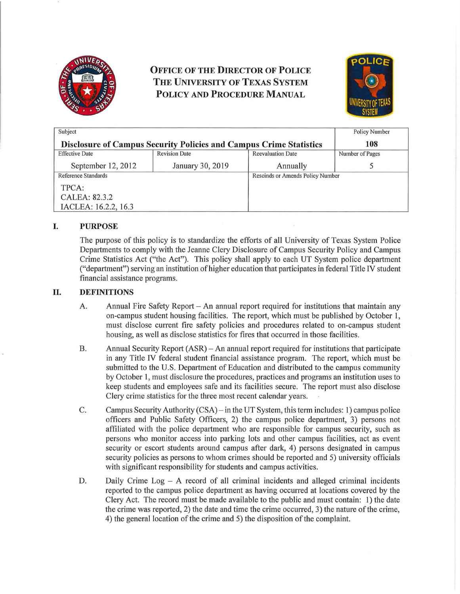

# **OFFICE OF THE DIRECTOR OF POLICE THE UNIVERSITY OF TEXAS SYSTEM POLICY AND PROCEDURE MANUAL**



| Subject                                                                   |                      |                                  | <b>Policy Number</b> |
|---------------------------------------------------------------------------|----------------------|----------------------------------|----------------------|
| <b>Disclosure of Campus Security Policies and Campus Crime Statistics</b> |                      |                                  | 108                  |
| <b>Effective Date</b>                                                     | <b>Revision Date</b> | <b>Reevaluation Date</b>         | Number of Pages      |
| September 12, 2012                                                        | January 30, 2019     | Annually                         |                      |
| <b>Reference Standards</b>                                                |                      | Rescinds or Amends Policy Number |                      |
| TPCA:                                                                     |                      |                                  |                      |
| CALEA: 82.3.2                                                             |                      |                                  |                      |
| IACLEA: 16.2.2, 16.3                                                      |                      |                                  |                      |

# **I. PURPOSE**

The purpose of this policy is to standardize the efforts of all University of Texas System Police Depaitments to comply with the Jeanne Clery Disclosure of Campus Security Policy and Campus Crime Statistics Act ("the Act"). This policy shall apply to each UT System police department ("department") serving an institution of higher education that participates in federal Title IV student financial assistance programs.

# **II. DEFINITIONS**

- A. Annual Fire Safety Report An annual report required for institutions that maintain any on-campus student housing facilities. The report, which must be published by October 1, must disclose current fire safety policies and procedures related to on-campus student housing, as well as disclose statistics for fires that occurred in those facilities.
- B. Annual Security Report (ASR) An annual report required for institutions that participate in any Title IV federal student financial assistance program. The report, which must be submitted to the U.S. Department of Education and distributed to the campus community by October 1, must disclosure the procedures, practices and programs an institution uses to keep students and employees safe and its facilities secure. The report must also disclose Clery crime statistics for the three most recent calendar years.
- C. Campus Security Authority (CSA) in the UT System, this term includes: 1) campus police officers and Public Safety Officers, 2) the campus police depaitment, 3) persons not affiliated with the police department who are responsible for campus security, such as persons who monitor access into parking Jots and other campus facilities, act as event security or escort students around campus after dark, 4) persons designated in campus security policies as persons to whom crimes should be reported and 5) university officials with significant responsibility for students and campus activities.
- D. Daily Crime  $Log A$  record of all criminal incidents and alleged criminal incidents reported to the campus police department as having occurred at locations covered by the Clery Act. The record must be made available to the public and must contain: 1) the date the crime was reported, 2) the date and time the crime occurred, 3) the nature ofthe crime, 4) the general location of the crime and 5) the disposition of the complaint.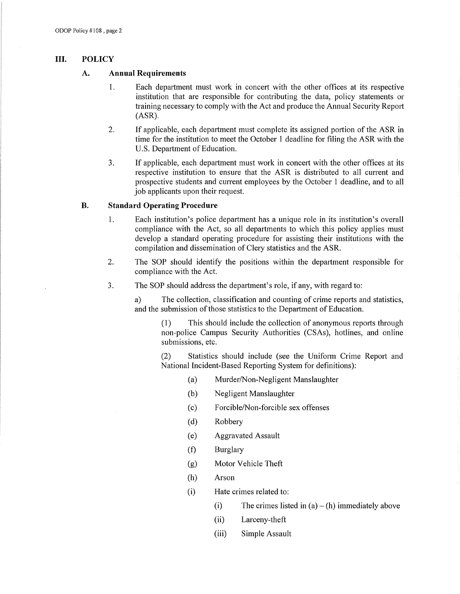### **III. POLICY**

## **A. Annual Requirements**

- 1. Each department must work in concert with the other offices at its respective institution that are responsible for contributing the data, policy statements or training necessary to comply with the Act and produce the Annual Security Report (ASR).
- 2. If applicable, each department must complete its assigned portion of the ASR in time for the institution to meet the October 1 deadline for filing the ASR with the U.S. Department of Education.
- 3. If applicable, each department must work in concert with the other offices at its respective institution to ensure that the ASR is distributed to all current and prospective students and current employees by the October 1 deadline, and to all job applicants upon their request.

### **B. Standard Operating Procedure**

- 1. Each institution's police department has a unique role in its institution's overall compliance with the Act, so all departments to which this policy applies must develop a standard operating procedure for assisting their institutions with the compilation and dissemination of Clery statistics and the ASR.
- 2. The SOP should identify the positions within the department responsible for compliance with the Act.
- 3. The SOP should address the depatiment's role, if any, with regard to:

a) The collection, classification and counting of crime reports and statistics, and the submission of those statistics to the Depatiment of Education.

(1) This should include the collection of anonymous reports through non-police Campus Security Authorities (CSAs), hotlines, and online submissions, etc.

(2) Statistics should include (see the Uniform Crime Repoti and National Incident-Based Reporting System for definitions):

- (a) Murder/Non-Negligent Manslaughter
- (b) Negligent Manslaughter
- (c) Forcible/Non-forcible sex offenses
- (d) Robbery
- (e) Aggravated Assault
- (f) Burglary
- (g) Motor Vehicle Theft
- (h) Arson
- (i) Hate crimes related to:
	- (i) The crimes listed in  $(a) (h)$  immediately above
	- (ii) Larceny-theft
	- (iii) Simple Assault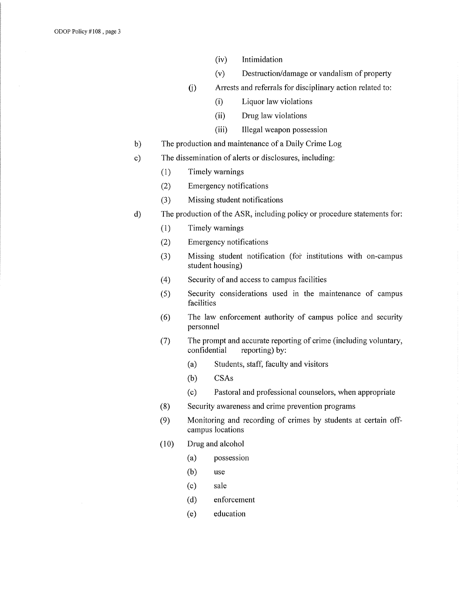- (iv) Intimidation
- $(v)$  Destruction/damage or vandalism of property
- (j) Arrests and referrals for disciplinary action related to:
	- (i) Liquor law violations
	- (ii) Drug law violations
	- (iii) Illegal weapon possession
- b) The production and maintenance of a Daily Crime Log
- c) The dissemination of alerts or disclosures, including:
	- (1) Timely warnings
	- (2) Emergency notifications
	- (3) Missing student notifications
- d) The production of the ASR, including policy or procedure statements for:
	- (1) Timely warnings
	- (2) Emergency notifications
	- (3) Missing student notification (for institutions with on-campus student housing)
	- (4) Security of and access to campus facilities
	- (5) Security considerations used in the maintenance of campus facilities
	- (6) The law enforcement authority of campus police and security personnel
	- (7) The prompt and accurate reporting of crime (including voluntary, confidential reporting) by:
		- (a) Students, staff, faculty and visitors
		- $(b)$  CSAs
		- (c) Pastoral and professional counselors, when appropriate
	- (8) Security awareness and crime prevention programs
	- (9) Monitoring and recording of crimes by students at certain offcampus locations
	- (10) Drug and alcohol
		- (a) possession
		- $(b)$  use
		- (c) sale
		- (d) enforcement
		- (e) education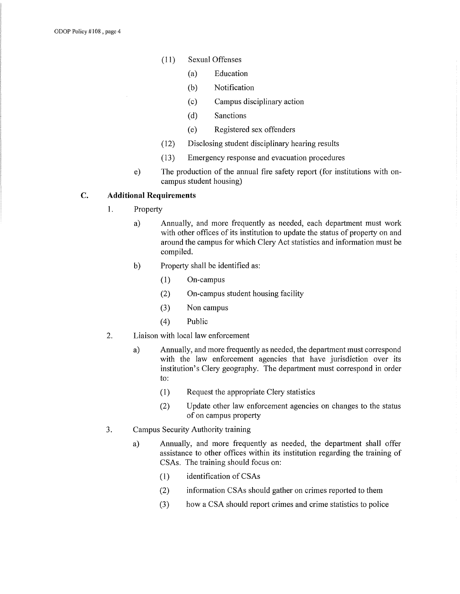- (11) Sexual Offenses
	- (a) Education
	- (b) Notification
	- (c) Campus disciplinary action
	- (d) Sanctions
	- (e) Registered sex offenders
- (12) Disclosing student disciplinary hearing results
- (13) Emergency response and evacuation procedures
- e) The production of the annual fire safety report (for institutions with oncampus student housing)

# **C. Additional Requirements**

- 1. Property
	- a) Annually, and more frequently as needed, each department must work with other offices of its institution to update the status of property on and around the campus for which Clery Act statistics and information must be compiled.
	- b) Property shall be identified as:
		- $(1)$  On-campus
		- (2) On-campus student housing facility
		- (3) Non campus
		- (4) Public
- 2. Liaison with local law enforcement
	- a) Annually, and more frequently as needed, the department must correspond with the law enforcement agencies that have jurisdiction over its institution's Clery geography. The department must correspond in order to:
		- (1) Request the appropriate Clery statistics
		- (2) Update other law enforcement agencies on changes to the status of on campus property
- 3. Campus Security Authority training
	- a) Annually, and more frequently as needed, the department shall offer assistance to other offices within its institution regarding the training of CSAs. The training should focus on:
		- $(1)$  identification of CSAs
		- (2) information CSAs should gather on crimes reported to them
		- (3) how a CSA should report crimes and crime statistics to police